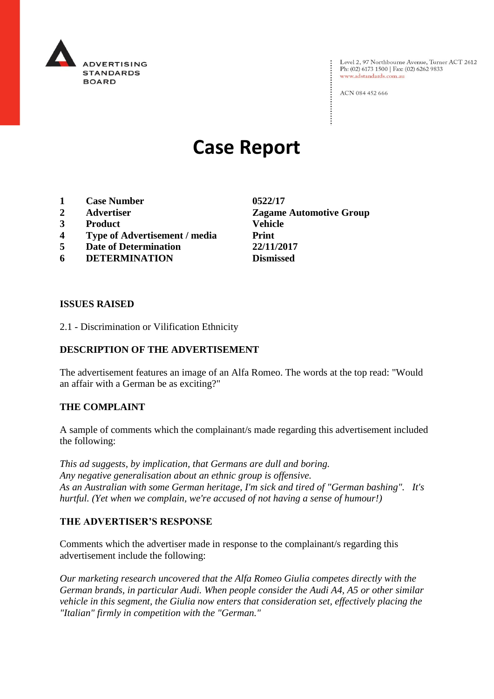

Level 2, 97 Northbourne Avenue, Turner ACT 2612<br>Ph: (02) 6173 1500 | Fax: (02) 6262 9833 www.adstandards.com.au

ACN 084 452 666

# **Case Report**

- **1 Case Number 0522/17**
- **2 Advertiser Zagame Automotive Group**
- **3 Product Vehicle**
- **4 Type of Advertisement / media Print**
- **5 Date of Determination 22/11/2017**
- **6 DETERMINATION Dismissed**

**ISSUES RAISED**

2.1 - Discrimination or Vilification Ethnicity

### **DESCRIPTION OF THE ADVERTISEMENT**

The advertisement features an image of an Alfa Romeo. The words at the top read: "Would an affair with a German be as exciting?"

#### **THE COMPLAINT**

A sample of comments which the complainant/s made regarding this advertisement included the following:

*This ad suggests, by implication, that Germans are dull and boring. Any negative generalisation about an ethnic group is offensive. As an Australian with some German heritage, I'm sick and tired of "German bashing". It's hurtful. (Yet when we complain, we're accused of not having a sense of humour!)*

#### **THE ADVERTISER'S RESPONSE**

Comments which the advertiser made in response to the complainant/s regarding this advertisement include the following:

*Our marketing research uncovered that the Alfa Romeo Giulia competes directly with the German brands, in particular Audi. When people consider the Audi A4, A5 or other similar vehicle in this segment, the Giulia now enters that consideration set, effectively placing the "Italian" firmly in competition with the "German."*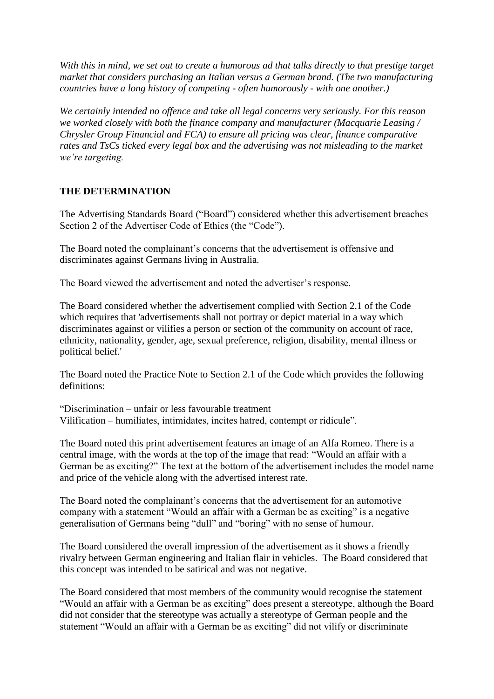With this in mind, we set out to create a humorous ad that talks directly to that prestige target *market that considers purchasing an Italian versus a German brand. (The two manufacturing countries have a long history of competing - often humorously - with one another.)*

*We certainly intended no offence and take all legal concerns very seriously. For this reason we worked closely with both the finance company and manufacturer (Macquarie Leasing / Chrysler Group Financial and FCA) to ensure all pricing was clear, finance comparative rates and TsCs ticked every legal box and the advertising was not misleading to the market we're targeting.*

## **THE DETERMINATION**

The Advertising Standards Board ("Board") considered whether this advertisement breaches Section 2 of the Advertiser Code of Ethics (the "Code").

The Board noted the complainant's concerns that the advertisement is offensive and discriminates against Germans living in Australia.

The Board viewed the advertisement and noted the advertiser's response.

The Board considered whether the advertisement complied with Section 2.1 of the Code which requires that 'advertisements shall not portray or depict material in a way which discriminates against or vilifies a person or section of the community on account of race, ethnicity, nationality, gender, age, sexual preference, religion, disability, mental illness or political belief.'

The Board noted the Practice Note to Section 2.1 of the Code which provides the following definitions:

"Discrimination – unfair or less favourable treatment Vilification – humiliates, intimidates, incites hatred, contempt or ridicule".

The Board noted this print advertisement features an image of an Alfa Romeo. There is a central image, with the words at the top of the image that read: "Would an affair with a German be as exciting?" The text at the bottom of the advertisement includes the model name and price of the vehicle along with the advertised interest rate.

The Board noted the complainant's concerns that the advertisement for an automotive company with a statement "Would an affair with a German be as exciting" is a negative generalisation of Germans being "dull" and "boring" with no sense of humour.

The Board considered the overall impression of the advertisement as it shows a friendly rivalry between German engineering and Italian flair in vehicles. The Board considered that this concept was intended to be satirical and was not negative.

The Board considered that most members of the community would recognise the statement "Would an affair with a German be as exciting" does present a stereotype, although the Board did not consider that the stereotype was actually a stereotype of German people and the statement "Would an affair with a German be as exciting" did not vilify or discriminate